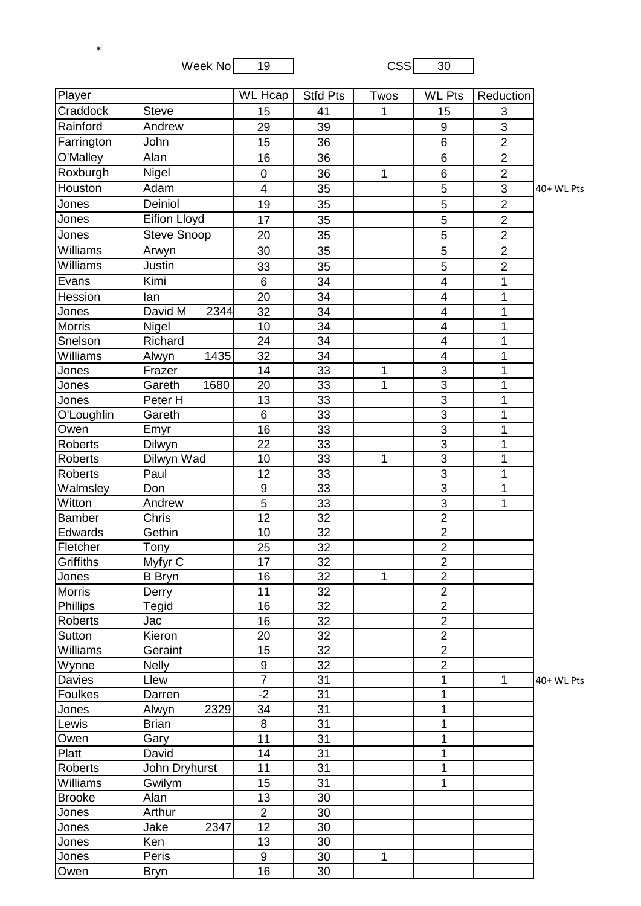| Week No | 19 | <b>CSS1</b> | 30 |
|---------|----|-------------|----|
|         |    |             |    |

\*

| Player          |                     | <b>WL Hcap</b>           | <b>Stfd Pts</b> | Twos | <b>WL Pts</b>  | Reduction      |            |
|-----------------|---------------------|--------------------------|-----------------|------|----------------|----------------|------------|
| Craddock        | <b>Steve</b>        | 15                       | 41              | 1    | 15             | 3              |            |
| Rainford        | Andrew              | 29                       | 39              |      | 9              | 3              |            |
| Farrington      | John                | 15                       | 36              |      | $6\phantom{1}$ | $\overline{2}$ |            |
| O'Malley        | Alan                | 16                       | 36              |      | $6\phantom{1}$ | $\overline{2}$ |            |
| Roxburgh        | Nigel               | $\mathbf 0$              | 36              | 1    | $6\phantom{1}$ | $\overline{2}$ |            |
| Houston         | Adam                | $\overline{\mathcal{A}}$ | 35              |      | 5              | 3              | 40+ WL Pts |
| Jones           | Deiniol             | 19                       | 35              |      | 5              | $\overline{2}$ |            |
| Jones           | <b>Eifion Lloyd</b> | 17                       | 35              |      | 5              | $\overline{2}$ |            |
| Jones           | <b>Steve Snoop</b>  |                          | 35              |      | 5              | $\overline{2}$ |            |
| Williams        | Arwyn               | 20<br>30                 | 35              |      | 5              | $\overline{2}$ |            |
| Williams        | Justin              | 33                       | 35              |      | 5              | $\overline{c}$ |            |
| Evans           | Kimi                | $\,6\,$                  | 34              |      | $\overline{4}$ | $\mathbf{1}$   |            |
| Hession         | lan                 | 20                       | 34              |      | $\overline{4}$ | 1              |            |
| Jones           | David M<br>2344     | 32                       | 34              |      | $\overline{4}$ | 1              |            |
| <b>Morris</b>   | Nigel               | 10                       | 34              |      | $\overline{4}$ | $\mathbf{1}$   |            |
| Snelson         | Richard             | 24                       | 34              |      | $\overline{4}$ | $\mathbf{1}$   |            |
| Williams        | 1435<br>Alwyn       | 32                       | 34              |      | $\overline{4}$ | 1              |            |
| Jones           | Frazer              | 14                       | 33              | 1    | 3              | $\mathbf{1}$   |            |
| Jones           | Gareth<br>1680      | 20                       | 33              | 1    | 3              | $\mathbf 1$    |            |
| Jones           | Peter H             | 13                       | 33              |      | $\overline{3}$ | 1              |            |
| O'Loughlin      | Gareth              | 6                        | 33              |      | $\overline{3}$ | 1              |            |
| Owen            | Emyr                | 16                       | 33              |      | 3              | 1              |            |
| <b>Roberts</b>  | Dilwyn              | 22                       | 33              |      | $\overline{3}$ | 1              |            |
| Roberts         | Dilwyn Wad          | 10                       | 33              | 1    | $\overline{3}$ | 1              |            |
| <b>Roberts</b>  | Paul                | 12                       | 33              |      | $\overline{3}$ | $\overline{1}$ |            |
| Walmsley        | Don                 | $\boldsymbol{9}$         | 33              |      | $\mathbf{3}$   | 1              |            |
| Witton          | Andrew              | $\overline{5}$           | 33              |      | $\overline{3}$ | $\overline{1}$ |            |
| <b>Bamber</b>   | Chris               | 12                       | 32              |      | $\overline{2}$ |                |            |
| Edwards         | Gethin              | 10                       | 32              |      | $\overline{2}$ |                |            |
| Fletcher        | Tony                | 25                       | 32              |      | $\overline{2}$ |                |            |
| Griffiths       | Myfyr C             | 17                       | 32              |      | $\overline{2}$ |                |            |
| Jones           | <b>B</b> Bryn       | 16                       | 32              | 1    | $\overline{2}$ |                |            |
| <b>Morris</b>   | Derry               | 11                       | 32              |      | $\overline{2}$ |                |            |
| Phillips        | Tegid               | 16                       | 32              |      | $\overline{2}$ |                |            |
| <b>Roberts</b>  | Jac                 | 16                       | 32              |      | $\overline{2}$ |                |            |
| Sutton          | Kieron              | 20                       | 32              |      | $\overline{2}$ |                |            |
| Williams        | Geraint             | 15                       | 32              |      | $\overline{2}$ |                |            |
| Wynne           | <b>Nelly</b>        | $\boldsymbol{9}$         | 32              |      | $\overline{2}$ |                |            |
| Davies          | Llew                | $\overline{7}$           | 31              |      | 1              | $\mathbf{1}$   | 40+ WL Pts |
| <b>Foulkes</b>  | Darren              | $-2$                     | 31              |      | 1              |                |            |
| Jones           | 2329<br>Alwyn       | 34                       | 31              |      | $\mathbf{1}$   |                |            |
| Lewis           | <b>Brian</b>        | 8                        | 31              |      | 1              |                |            |
| Owen            | Gary                | 11                       | 31              |      | 1              |                |            |
| Platt           | David               | 14                       | 31              |      | $\mathbf 1$    |                |            |
| <b>Roberts</b>  | John Dryhurst       | 11                       | 31              |      | 1              |                |            |
| <b>Williams</b> | Gwilym              | 15                       | 31              |      | $\mathbf 1$    |                |            |
| <b>Brooke</b>   | Alan                | 13                       | 30              |      |                |                |            |
| Jones           | Arthur              | $\overline{2}$           | 30              |      |                |                |            |
| Jones           | 2347<br>Jake        | $\overline{12}$          | 30              |      |                |                |            |
| Jones           | Ken                 | 13                       | 30              |      |                |                |            |
| Jones           | Peris               | 9                        | 30              | 1    |                |                |            |
| Owen            | Bryn                | 16                       | 30              |      |                |                |            |